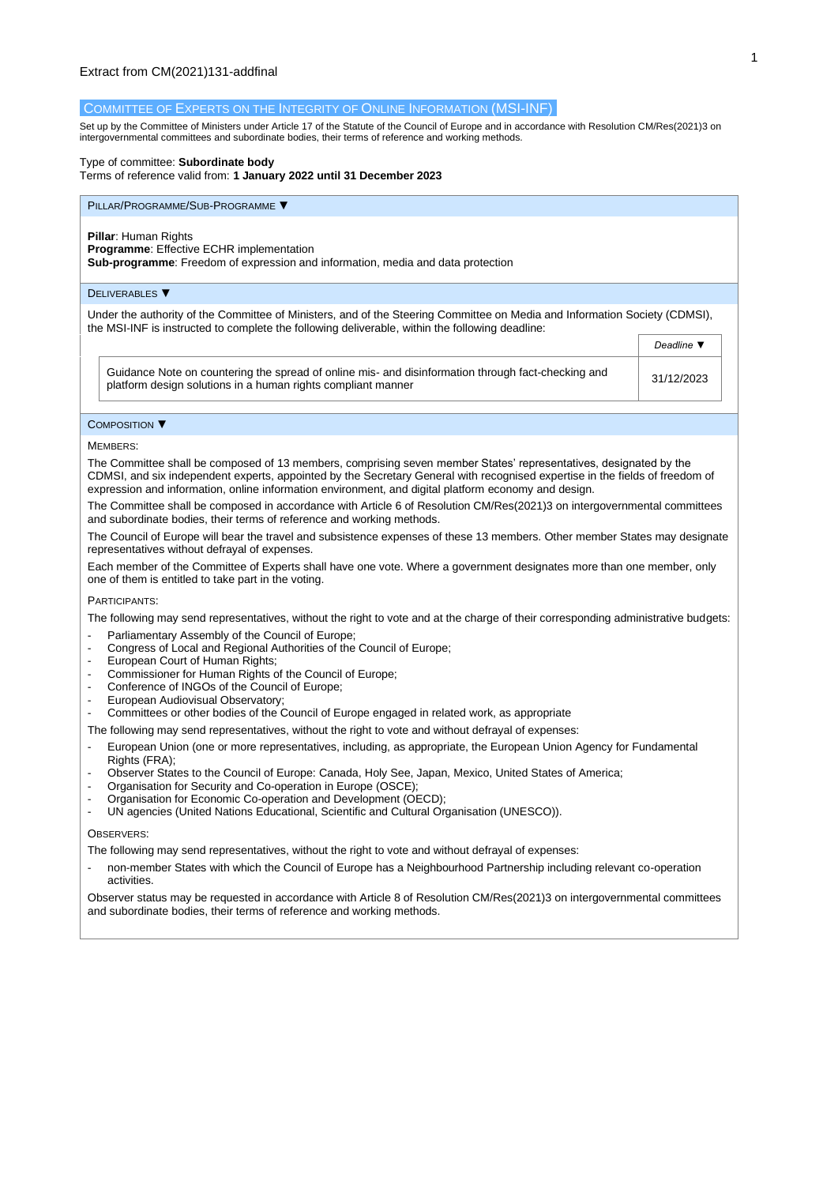### COMMITTEE OF EXPERTS ON THE INTEGRITY OF ONLINE INFORMATION (MSI-INF)

Set up by the Committee of Ministers under Article 17 of the Statute of the Council of Europe and in accordance with Resolutio[n CM/Res\(2021\)3](https://search.coe.int/cm/Pages/result_details.aspx?Reference=CM/Res(2011)24) on intergovernmental committees and subordinate bodies, their terms of reference and working methods.

## Type of committee: **Subordinate body**

Terms of reference valid from: **1 January 2022 until 31 December 2023** 

### PILLAR/PROGRAMME/SUB-PROGRAMME ▼

### **Pillar**: Human Rights

**Programme:** Effective ECHR implementation

**Sub-programme**: Freedom of expression and information, media and data protection

### DELIVERABLES ▼

Under the authority of the Committee of Ministers, and of the Steering Committee on Media and Information Society (CDMSI), the MSI-INF is instructed to complete the following deliverable, within the following deadline:

|                                                                                                                                                                    | <i>Deadline</i> v |
|--------------------------------------------------------------------------------------------------------------------------------------------------------------------|-------------------|
| Guidance Note on countering the spread of online mis- and disinformation through fact-checking and<br>platform design solutions in a human rights compliant manner | 31/12/2023        |

# COMPOSITION ▼

#### MEMBERS:

The Committee shall be composed of 13 members, comprising seven member States' representatives, designated by the CDMSI, and six independent experts, appointed by the Secretary General with recognised expertise in the fields of freedom of expression and information, online information environment, and digital platform economy and design.

The Committee shall be composed in accordance with Article 6 of Resolution CM/Res(2021)3 on intergovernmental committees and subordinate bodies, their terms of reference and working methods.

The Council of Europe will bear the travel and subsistence expenses of these 13 members. Other member States may designate representatives without defrayal of expenses.

Each member of the Committee of Experts shall have one vote. Where a government designates more than one member, only one of them is entitled to take part in the voting.

### PARTICIPANTS:

The following may send representatives, without the right to vote and at the charge of their corresponding administrative budgets:

- Parliamentary Assembly of the Council of Europe;
- Congress of Local and Regional Authorities of the Council of Europe;
- European Court of Human Rights:
- Commissioner for Human Rights of the Council of Europe;
- Conference of INGOs of the Council of Europe;
- European Audiovisual Observatory;
- Committees or other bodies of the Council of Europe engaged in related work, as appropriate

The following may send representatives, without the right to vote and without defrayal of expenses:

- European Union (one or more representatives, including, as appropriate, the European Union Agency for Fundamental Rights (FRA);
- Observer States to the Council of Europe: Canada, Holy See, Japan, Mexico, United States of America;
- Organisation for Security and Co-operation in Europe (OSCE);
- Organisation for Economic Co-operation and Development (OECD);<br>- IIN agencies (United Nations Educational, Scientific and Cultural Or
- UN agencies (United Nations Educational, Scientific and Cultural Organisation (UNESCO)).

### **OBSERVERS:**

The following may send representatives, without the right to vote and without defrayal of expenses:

- non-member States with which the Council of Europe has a Neighbourhood Partnership including relevant co-operation activities.

Observer status may be requested in accordance with Article 8 of Resolution CM/Res(2021)3 on intergovernmental committees and subordinate bodies, their terms of reference and working methods.

**Deadline →**